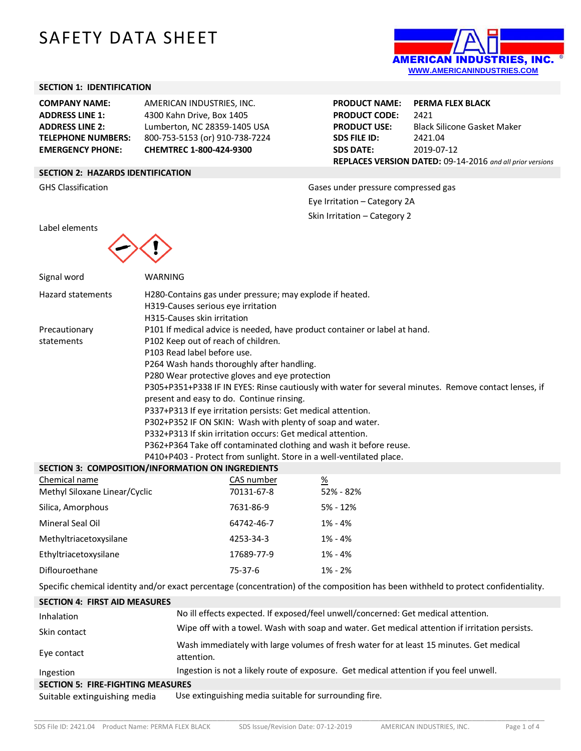# SAFETY DATA SHEET



### **SECTION 1: IDENTIFICATION**

**COMPANY NAME:** AMERICAN INDUSTRIES, INC. **ADDRESS LINE 1:** 4300 Kahn Drive, Box 1405 **EMERGENCY PHONE: CHEMTREC 1-800-424-9300**

**ADDRESS LINE 2:** Lumberton, NC 28359-1405 USA **TELEPHONE NUMBERS:** 800-753-5153 (or) 910-738-7224

**PRODUCT NAME: PERMA FLEX BLACK PRODUCT CODE:** 2421 **PRODUCT USE:** Black Silicone Gasket Maker **SDS FILE ID:** 2421.04 **SDS DATE:** 2019-07-12 **REPLACES VERSION DATED:** 09-14-2016 *and all prior versions*

# **SECTION 2: HAZARDS IDENTIFICATION**

GHS Classification Gases under pressure compressed gas Eye Irritation – Category 2A Skin Irritation – Category 2

Label elements



| Signal word                                                                                                                         | <b>WARNING</b>                                                       |                                                                                                       |               |  |  |  |  |
|-------------------------------------------------------------------------------------------------------------------------------------|----------------------------------------------------------------------|-------------------------------------------------------------------------------------------------------|---------------|--|--|--|--|
| <b>Hazard statements</b>                                                                                                            |                                                                      | H280-Contains gas under pressure; may explode if heated.                                              |               |  |  |  |  |
|                                                                                                                                     | H319-Causes serious eye irritation                                   |                                                                                                       |               |  |  |  |  |
|                                                                                                                                     | H315-Causes skin irritation                                          |                                                                                                       |               |  |  |  |  |
| Precautionary                                                                                                                       |                                                                      | P101 If medical advice is needed, have product container or label at hand.                            |               |  |  |  |  |
| statements                                                                                                                          |                                                                      | P102 Keep out of reach of children.                                                                   |               |  |  |  |  |
|                                                                                                                                     | P103 Read label before use.                                          |                                                                                                       |               |  |  |  |  |
|                                                                                                                                     |                                                                      | P264 Wash hands thoroughly after handling.                                                            |               |  |  |  |  |
|                                                                                                                                     |                                                                      | P280 Wear protective gloves and eye protection                                                        |               |  |  |  |  |
|                                                                                                                                     |                                                                      | P305+P351+P338 IF IN EYES: Rinse cautiously with water for several minutes. Remove contact lenses, if |               |  |  |  |  |
|                                                                                                                                     |                                                                      | present and easy to do. Continue rinsing.                                                             |               |  |  |  |  |
|                                                                                                                                     |                                                                      | P337+P313 If eye irritation persists: Get medical attention.                                          |               |  |  |  |  |
|                                                                                                                                     |                                                                      | P302+P352 IF ON SKIN: Wash with plenty of soap and water.                                             |               |  |  |  |  |
|                                                                                                                                     |                                                                      | P332+P313 If skin irritation occurs: Get medical attention.                                           |               |  |  |  |  |
|                                                                                                                                     |                                                                      | P362+P364 Take off contaminated clothing and wash it before reuse.                                    |               |  |  |  |  |
|                                                                                                                                     | P410+P403 - Protect from sunlight. Store in a well-ventilated place. |                                                                                                       |               |  |  |  |  |
| SECTION 3: COMPOSITION/INFORMATION ON INGREDIENTS                                                                                   |                                                                      |                                                                                                       |               |  |  |  |  |
| Chemical name                                                                                                                       |                                                                      | CAS number                                                                                            | $\frac{9}{6}$ |  |  |  |  |
| Methyl Siloxane Linear/Cyclic                                                                                                       |                                                                      | 70131-67-8                                                                                            | 52% - 82%     |  |  |  |  |
| Silica, Amorphous                                                                                                                   |                                                                      | 7631-86-9                                                                                             | 5% - 12%      |  |  |  |  |
| Mineral Seal Oil                                                                                                                    |                                                                      | 64742-46-7                                                                                            | $1\% - 4\%$   |  |  |  |  |
| Methyltriacetoxysilane                                                                                                              |                                                                      | 4253-34-3                                                                                             | $1\% - 4\%$   |  |  |  |  |
| Ethyltriacetoxysilane                                                                                                               |                                                                      | 17689-77-9                                                                                            | $1\% - 4\%$   |  |  |  |  |
| Diflouroethane                                                                                                                      | $75-37-6$                                                            |                                                                                                       | 1% - 2%       |  |  |  |  |
| Specific chemical identity and/or exact percentage (concentration) of the composition has been withheld to protect confidentiality. |                                                                      |                                                                                                       |               |  |  |  |  |
| <b>SECTION 4: FIRST AID MEASURES</b>                                                                                                |                                                                      |                                                                                                       |               |  |  |  |  |
| Inhalation                                                                                                                          |                                                                      | No ill effects expected. If exposed/feel unwell/concerned: Get medical attention.                     |               |  |  |  |  |
| Skin contact                                                                                                                        |                                                                      | Wipe off with a towel. Wash with soap and water. Get medical attention if irritation persists.        |               |  |  |  |  |
| Eye contact                                                                                                                         | attantion                                                            | Wash immediately with large volumes of fresh water for at least 15 minutes. Get medical               |               |  |  |  |  |

Ingestion Ingestion is not a likely route of exposure. Get medical attention if you feel unwell.

**SECTION 5: FIRE-FIGHTING MEASURES**

Suitable extinguishing media Use extinguishing media suitable for surrounding fire.

attention.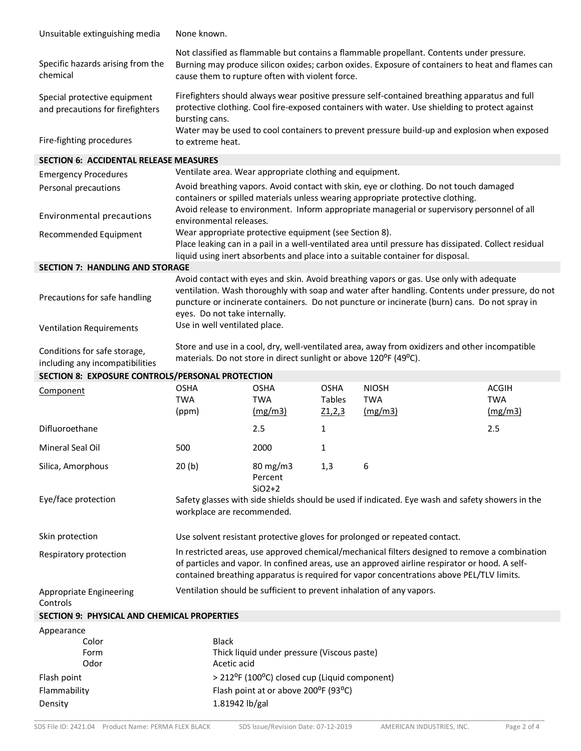| Unsuitable extinguishing media                                   | None known.                                                                                                                                                                                                                                                                                                                   |                                                                                       |                       |                            |                                                                                                                                                                                                                                                                                              |  |  |
|------------------------------------------------------------------|-------------------------------------------------------------------------------------------------------------------------------------------------------------------------------------------------------------------------------------------------------------------------------------------------------------------------------|---------------------------------------------------------------------------------------|-----------------------|----------------------------|----------------------------------------------------------------------------------------------------------------------------------------------------------------------------------------------------------------------------------------------------------------------------------------------|--|--|
| Specific hazards arising from the<br>chemical                    | Not classified as flammable but contains a flammable propellant. Contents under pressure.<br>Burning may produce silicon oxides; carbon oxides. Exposure of containers to heat and flames can<br>cause them to rupture often with violent force.                                                                              |                                                                                       |                       |                            |                                                                                                                                                                                                                                                                                              |  |  |
| Special protective equipment<br>and precautions for firefighters | Firefighters should always wear positive pressure self-contained breathing apparatus and full<br>protective clothing. Cool fire-exposed containers with water. Use shielding to protect against<br>bursting cans.                                                                                                             |                                                                                       |                       |                            |                                                                                                                                                                                                                                                                                              |  |  |
| Fire-fighting procedures                                         | Water may be used to cool containers to prevent pressure build-up and explosion when exposed<br>to extreme heat.                                                                                                                                                                                                              |                                                                                       |                       |                            |                                                                                                                                                                                                                                                                                              |  |  |
| <b>SECTION 6: ACCIDENTAL RELEASE MEASURES</b>                    |                                                                                                                                                                                                                                                                                                                               |                                                                                       |                       |                            |                                                                                                                                                                                                                                                                                              |  |  |
| <b>Emergency Procedures</b>                                      | Ventilate area. Wear appropriate clothing and equipment.                                                                                                                                                                                                                                                                      |                                                                                       |                       |                            |                                                                                                                                                                                                                                                                                              |  |  |
| Personal precautions                                             | Avoid breathing vapors. Avoid contact with skin, eye or clothing. Do not touch damaged<br>containers or spilled materials unless wearing appropriate protective clothing.<br>Avoid release to environment. Inform appropriate managerial or supervisory personnel of all                                                      |                                                                                       |                       |                            |                                                                                                                                                                                                                                                                                              |  |  |
| Environmental precautions                                        | environmental releases.                                                                                                                                                                                                                                                                                                       |                                                                                       |                       |                            |                                                                                                                                                                                                                                                                                              |  |  |
| Recommended Equipment                                            | Wear appropriate protective equipment (see Section 8).<br>Place leaking can in a pail in a well-ventilated area until pressure has dissipated. Collect residual<br>liquid using inert absorbents and place into a suitable container for disposal.                                                                            |                                                                                       |                       |                            |                                                                                                                                                                                                                                                                                              |  |  |
| <b>SECTION 7: HANDLING AND STORAGE</b>                           |                                                                                                                                                                                                                                                                                                                               |                                                                                       |                       |                            |                                                                                                                                                                                                                                                                                              |  |  |
| Precautions for safe handling                                    | Avoid contact with eyes and skin. Avoid breathing vapors or gas. Use only with adequate<br>ventilation. Wash thoroughly with soap and water after handling. Contents under pressure, do not<br>puncture or incinerate containers. Do not puncture or incinerate (burn) cans. Do not spray in<br>eyes. Do not take internally. |                                                                                       |                       |                            |                                                                                                                                                                                                                                                                                              |  |  |
| <b>Ventilation Requirements</b>                                  | Use in well ventilated place.                                                                                                                                                                                                                                                                                                 |                                                                                       |                       |                            |                                                                                                                                                                                                                                                                                              |  |  |
| Conditions for safe storage,<br>including any incompatibilities  | Store and use in a cool, dry, well-ventilated area, away from oxidizers and other incompatible<br>materials. Do not store in direct sunlight or above 120°F (49°C).                                                                                                                                                           |                                                                                       |                       |                            |                                                                                                                                                                                                                                                                                              |  |  |
|                                                                  | SECTION 8: EXPOSURE CONTROLS/PERSONAL PROTECTION                                                                                                                                                                                                                                                                              |                                                                                       |                       |                            |                                                                                                                                                                                                                                                                                              |  |  |
|                                                                  |                                                                                                                                                                                                                                                                                                                               |                                                                                       |                       |                            |                                                                                                                                                                                                                                                                                              |  |  |
| Component                                                        | <b>OSHA</b><br><b>TWA</b>                                                                                                                                                                                                                                                                                                     | <b>OSHA</b><br><b>TWA</b>                                                             | <b>OSHA</b><br>Tables | <b>NIOSH</b><br><b>TWA</b> | <b>ACGIH</b><br><b>TWA</b>                                                                                                                                                                                                                                                                   |  |  |
| Difluoroethane                                                   | (ppm)                                                                                                                                                                                                                                                                                                                         | (mg/m3)<br>2.5                                                                        | Z1,2,3<br>1           | (mg/m3)                    | (mg/m3)<br>2.5                                                                                                                                                                                                                                                                               |  |  |
| Mineral Seal Oil                                                 | 500                                                                                                                                                                                                                                                                                                                           | 2000                                                                                  | 1                     |                            |                                                                                                                                                                                                                                                                                              |  |  |
| Silica, Amorphous                                                | 20(b)                                                                                                                                                                                                                                                                                                                         | $80 \text{ mg/m}$ 3<br>Percent                                                        | 1,3                   | 6                          |                                                                                                                                                                                                                                                                                              |  |  |
| Eye/face protection                                              | workplace are recommended.                                                                                                                                                                                                                                                                                                    | $SiO2+2$                                                                              |                       |                            | Safety glasses with side shields should be used if indicated. Eye wash and safety showers in the                                                                                                                                                                                             |  |  |
| Skin protection                                                  | Use solvent resistant protective gloves for prolonged or repeated contact.                                                                                                                                                                                                                                                    |                                                                                       |                       |                            |                                                                                                                                                                                                                                                                                              |  |  |
| Respiratory protection                                           |                                                                                                                                                                                                                                                                                                                               |                                                                                       |                       |                            | In restricted areas, use approved chemical/mechanical filters designed to remove a combination<br>of particles and vapor. In confined areas, use an approved airline respirator or hood. A self-<br>contained breathing apparatus is required for vapor concentrations above PEL/TLV limits. |  |  |
| Appropriate Engineering<br>Controls                              | Ventilation should be sufficient to prevent inhalation of any vapors.                                                                                                                                                                                                                                                         |                                                                                       |                       |                            |                                                                                                                                                                                                                                                                                              |  |  |
| <b>SECTION 9: PHYSICAL AND CHEMICAL PROPERTIES</b>               |                                                                                                                                                                                                                                                                                                                               |                                                                                       |                       |                            |                                                                                                                                                                                                                                                                                              |  |  |
| Appearance                                                       |                                                                                                                                                                                                                                                                                                                               |                                                                                       |                       |                            |                                                                                                                                                                                                                                                                                              |  |  |
| Color                                                            | <b>Black</b>                                                                                                                                                                                                                                                                                                                  |                                                                                       |                       |                            |                                                                                                                                                                                                                                                                                              |  |  |
| Form<br>Odor                                                     |                                                                                                                                                                                                                                                                                                                               | Thick liquid under pressure (Viscous paste)                                           |                       |                            |                                                                                                                                                                                                                                                                                              |  |  |
|                                                                  | Acetic acid                                                                                                                                                                                                                                                                                                                   |                                                                                       |                       |                            |                                                                                                                                                                                                                                                                                              |  |  |
| Flash point<br>Flammability                                      |                                                                                                                                                                                                                                                                                                                               | > 212°F (100°C) closed cup (Liquid component)<br>Flash point at or above 200°F (93°C) |                       |                            |                                                                                                                                                                                                                                                                                              |  |  |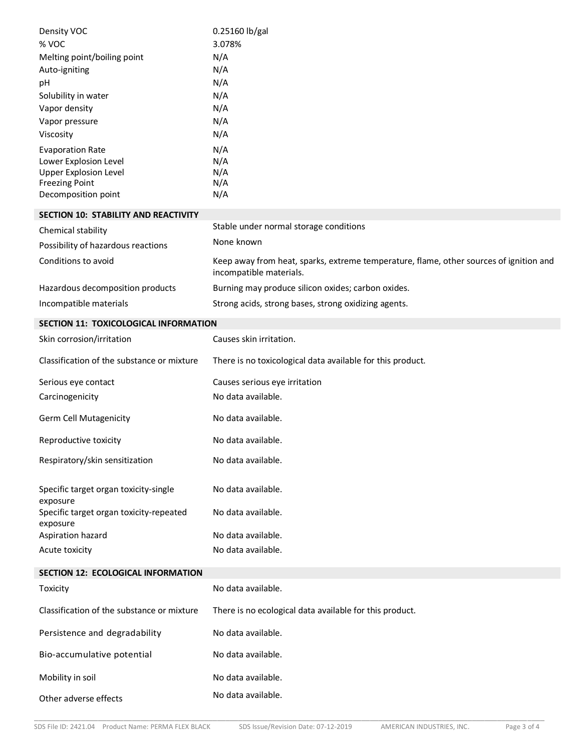| Density VOC                                         | 0.25160 lb/gal                                                                                                    |
|-----------------------------------------------------|-------------------------------------------------------------------------------------------------------------------|
| % VOC                                               | 3.078%                                                                                                            |
| Melting point/boiling point                         | N/A                                                                                                               |
| Auto-igniting                                       | N/A                                                                                                               |
| рH                                                  | N/A                                                                                                               |
| Solubility in water                                 | N/A                                                                                                               |
| Vapor density                                       | N/A                                                                                                               |
| Vapor pressure                                      | N/A                                                                                                               |
| Viscosity                                           | N/A                                                                                                               |
| <b>Evaporation Rate</b>                             | N/A                                                                                                               |
| Lower Explosion Level                               | N/A                                                                                                               |
| <b>Upper Explosion Level</b>                        | N/A                                                                                                               |
| <b>Freezing Point</b><br>Decomposition point        | N/A<br>N/A                                                                                                        |
|                                                     |                                                                                                                   |
| SECTION 10: STABILITY AND REACTIVITY                |                                                                                                                   |
| Chemical stability                                  | Stable under normal storage conditions                                                                            |
| Possibility of hazardous reactions                  | None known                                                                                                        |
| Conditions to avoid                                 | Keep away from heat, sparks, extreme temperature, flame, other sources of ignition and<br>incompatible materials. |
| Hazardous decomposition products                    | Burning may produce silicon oxides; carbon oxides.                                                                |
| Incompatible materials                              | Strong acids, strong bases, strong oxidizing agents.                                                              |
|                                                     |                                                                                                                   |
| SECTION 11: TOXICOLOGICAL INFORMATION               |                                                                                                                   |
| Skin corrosion/irritation                           | Causes skin irritation.                                                                                           |
| Classification of the substance or mixture          | There is no toxicological data available for this product.                                                        |
| Serious eye contact                                 | Causes serious eye irritation                                                                                     |
| Carcinogenicity                                     | No data available.                                                                                                |
| <b>Germ Cell Mutagenicity</b>                       | No data available.                                                                                                |
| Reproductive toxicity                               | No data available.                                                                                                |
| Respiratory/skin sensitization                      | No data available.                                                                                                |
| Specific target organ toxicity-single<br>exposure   | No data available.                                                                                                |
| Specific target organ toxicity-repeated<br>exposure | No data available.                                                                                                |
| Aspiration hazard                                   | No data available.                                                                                                |
| Acute toxicity                                      | No data available.                                                                                                |
| SECTION 12: ECOLOGICAL INFORMATION                  |                                                                                                                   |
| Toxicity                                            | No data available.                                                                                                |
| Classification of the substance or mixture          | There is no ecological data available for this product.                                                           |
| Persistence and degradability                       | No data available.                                                                                                |
| Bio-accumulative potential                          | No data available.                                                                                                |
| Mobility in soil                                    | No data available.                                                                                                |
| Other adverse effects                               | No data available.                                                                                                |